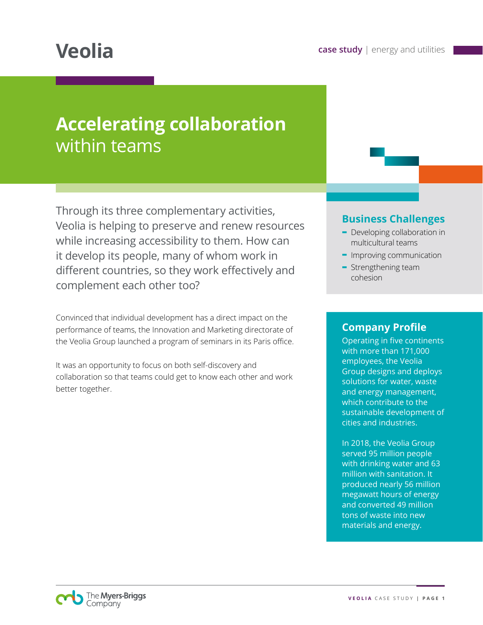# **Accelerating collaboration** within teams

Through its three complementary activities, Veolia is helping to preserve and renew resources while increasing accessibility to them. How can it develop its people, many of whom work in different countries, so they work effectively and complement each other too?

Convinced that individual development has a direct impact on the performance of teams, the Innovation and Marketing directorate of the Veolia Group launched a program of seminars in its Paris office.

It was an opportunity to focus on both self-discovery and collaboration so that teams could get to know each other and work better together.

#### **Business Challenges**

- **-** Developing collaboration in multicultural teams
- **-** Improving communication
- **-** Strengthening team cohesion

#### **Company Profile**

Operating in five continents with more than 171,000 employees, the Veolia Group designs and deploys solutions for water, waste and energy management, which contribute to the sustainable development of cities and industries.

In 2018, the Veolia Group served 95 million people with drinking water and 63 million with sanitation. It produced nearly 56 million megawatt hours of energy and converted 49 million tons of waste into new materials and energy.

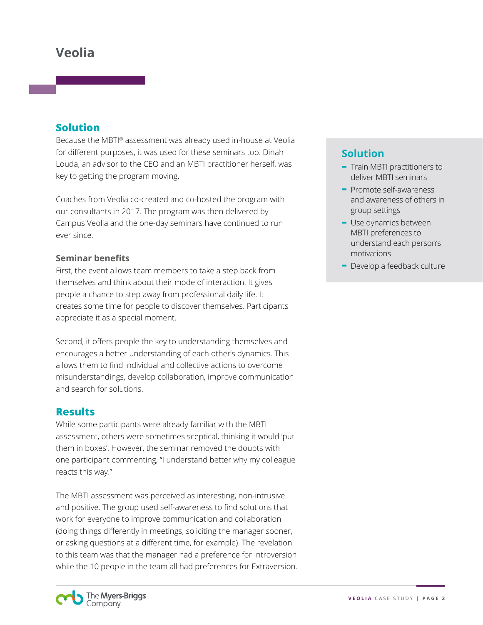# **Veolia**

#### **Solution**

Because the MBTI® assessment was already used in-house at Veolia for different purposes, it was used for these seminars too. Dinah Louda, an advisor to the CEO and an MBTI practitioner herself, was key to getting the program moving.

Coaches from Veolia co-created and co-hosted the program with our consultants in 2017. The program was then delivered by Campus Veolia and the one-day seminars have continued to run ever since.

#### **Seminar benefits**

First, the event allows team members to take a step back from themselves and think about their mode of interaction. It gives people a chance to step away from professional daily life. It creates some time for people to discover themselves. Participants appreciate it as a special moment.

Second, it offers people the key to understanding themselves and encourages a better understanding of each other's dynamics. This allows them to find individual and collective actions to overcome misunderstandings, develop collaboration, improve communication and search for solutions.

#### **Results**

While some participants were already familiar with the MBTI assessment, others were sometimes sceptical, thinking it would 'put them in boxes'. However, the seminar removed the doubts with one participant commenting, "I understand better why my colleague reacts this way."

The MBTI assessment was perceived as interesting, non-intrusive and positive. The group used self-awareness to find solutions that work for everyone to improve communication and collaboration (doing things differently in meetings, soliciting the manager sooner, or asking questions at a different time, for example). The revelation to this team was that the manager had a preference for Introversion while the 10 people in the team all had preferences for Extraversion.

## **Solution**

- **-** Train MBTI practitioners to deliver MBTI seminars
- **-** Promote self-awareness and awareness of others in group settings
- **-** Use dynamics between MBTI preferences to understand each person's motivations
- **-** Develop a feedback culture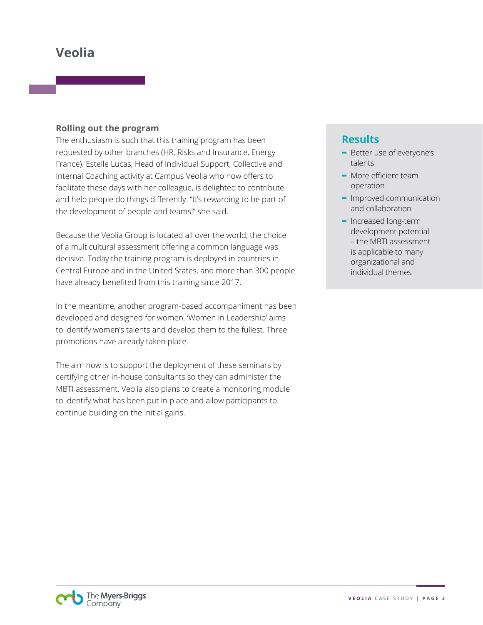# **Veolia**

#### **Rolling out the program**

The enthusiasm is such that this training program has been requested by other branches (HR, Risks and Insurance, Energy France). Estelle Lucas, Head of Individual Support, Collective and Internal Coaching activity at Campus Veolia who now offers to facilitate these days with her colleague, is delighted to contribute and help people do things differently. "It's rewarding to be part of the development of people and teams!" she said.

Because the Veolia Group is located all over the world, the choice of a multicultural assessment offering a common language was decisive. Today the training program is deployed in countries in Central Europe and in the United States, and more than 300 people have already benefited from this training since 2017.

In the meantime, another program-based accompaniment has been developed and designed for women. 'Women in Leadership' aims to identify women's talents and develop them to the fullest. Three promotions have already taken place.

The aim now is to support the deployment of these seminars by certifying other in-house consultants so they can administer the MBTI assessment. Veolia also plans to create a monitoring module to identify what has been put in place and allow participants to continue building on the initial gains.

### **Results**

- **-** Better use of everyone's talents
- **-** More efficient team operation
- **-** Improved communication and collaboration
- **-** Increased long-term development potential – the MBTI assessment is applicable to many organizational and individual themes